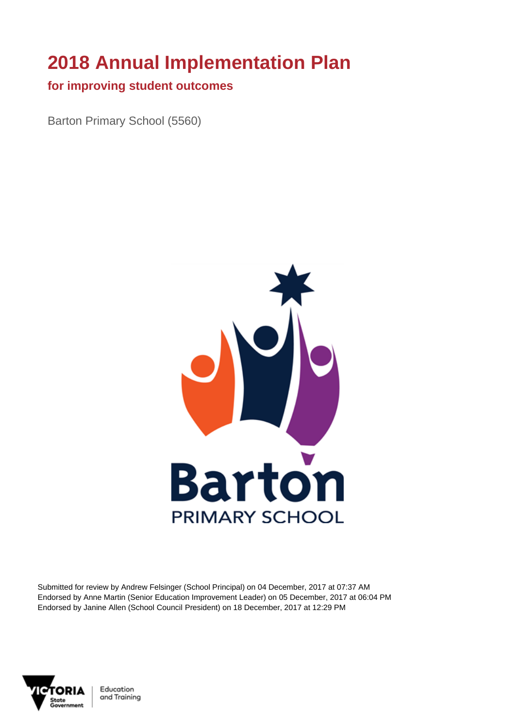# **2018 Annual Implementation Plan**

#### **for improving student outcomes**

Barton Primary School (5560)



Submitted for review by Andrew Felsinger (School Principal) on 04 December, 2017 at 07:37 AM Endorsed by Anne Martin (Senior Education Improvement Leader) on 05 December, 2017 at 06:04 PM Endorsed by Janine Allen (School Council President) on 18 December, 2017 at 12:29 PM



Education and Training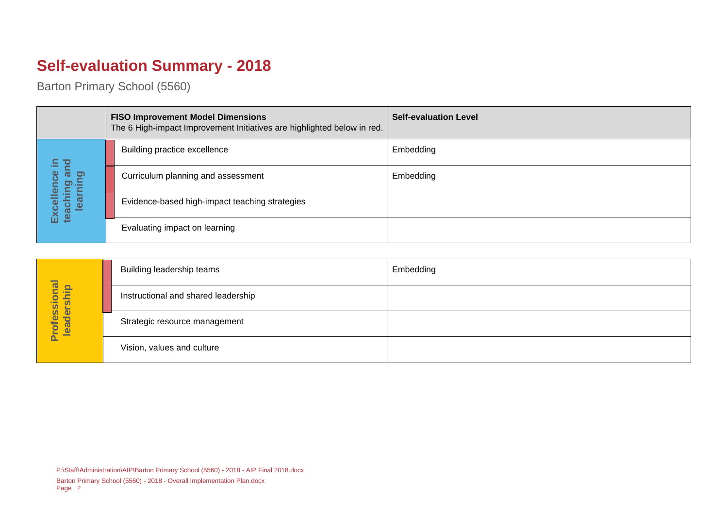## **Self-evaluation Summary - 2018**

Barton Primary School (5560)

|                                                                                                           | <b>FISO Improvement Model Dimensions</b><br>The 6 High-impact Improvement Initiatives are highlighted below in red. | <b>Self-evaluation Level</b> |
|-----------------------------------------------------------------------------------------------------------|---------------------------------------------------------------------------------------------------------------------|------------------------------|
| 르.<br>$\overline{\mathbf{c}}$<br><b>Rip</b><br>lence<br>puinna:<br>Puinna:<br>Excelle<br>teachin<br>learn | Building practice excellence                                                                                        | Embedding                    |
|                                                                                                           | Curriculum planning and assessment                                                                                  | Embedding                    |
|                                                                                                           | Evidence-based high-impact teaching strategies                                                                      |                              |
|                                                                                                           | Evaluating impact on learning                                                                                       |                              |

| Professional<br>leadership<br>$\ddot{\sigma}$ | Building leadership teams           | Embedding |
|-----------------------------------------------|-------------------------------------|-----------|
|                                               | Instructional and shared leadership |           |
|                                               | Strategic resource management       |           |
|                                               | Vision, values and culture          |           |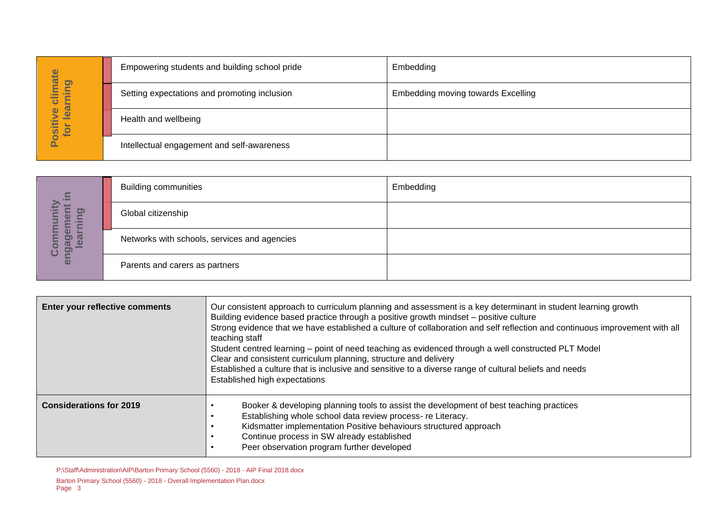| hate<br><b>pui</b><br>Ξ<br>learr<br>ပ<br>$\mathbf{\Omega}$<br>ositiv<br>for<br>௨ | Empowering students and building school pride | Embedding                          |
|----------------------------------------------------------------------------------|-----------------------------------------------|------------------------------------|
|                                                                                  | Setting expectations and promoting inclusion  | Embedding moving towards Excelling |
|                                                                                  | Health and wellbeing                          |                                    |
|                                                                                  | Intellectual engagement and self-awareness    |                                    |

| $\subseteq$<br><u>ත</u><br>O)<br>C<br><u>်ခ</u><br><u>ფ</u><br>ပ<br>ΘÑ | <b>Building communities</b>                  | Embedding |
|------------------------------------------------------------------------|----------------------------------------------|-----------|
|                                                                        | Global citizenship                           |           |
|                                                                        | Networks with schools, services and agencies |           |
|                                                                        | Parents and carers as partners               |           |

|                                  | Empowering students and building school pride                          |                                                                                                                                                                                                                                                                                                                                                   | <b>EINDEUGING</b>                                                                                                                                                                                                                                                                                                                                                                                                                                             |  |
|----------------------------------|------------------------------------------------------------------------|---------------------------------------------------------------------------------------------------------------------------------------------------------------------------------------------------------------------------------------------------------------------------------------------------------------------------------------------------|---------------------------------------------------------------------------------------------------------------------------------------------------------------------------------------------------------------------------------------------------------------------------------------------------------------------------------------------------------------------------------------------------------------------------------------------------------------|--|
| Positive climate<br>for learning |                                                                        | Setting expectations and promoting inclusion                                                                                                                                                                                                                                                                                                      | <b>Embedding moving towards Excelling</b>                                                                                                                                                                                                                                                                                                                                                                                                                     |  |
|                                  | Health and wellbeing                                                   |                                                                                                                                                                                                                                                                                                                                                   |                                                                                                                                                                                                                                                                                                                                                                                                                                                               |  |
|                                  |                                                                        | Intellectual engagement and self-awareness                                                                                                                                                                                                                                                                                                        |                                                                                                                                                                                                                                                                                                                                                                                                                                                               |  |
|                                  |                                                                        |                                                                                                                                                                                                                                                                                                                                                   |                                                                                                                                                                                                                                                                                                                                                                                                                                                               |  |
|                                  | <b>Building communities</b>                                            |                                                                                                                                                                                                                                                                                                                                                   | Embedding                                                                                                                                                                                                                                                                                                                                                                                                                                                     |  |
| earning                          | Global citizenship                                                     |                                                                                                                                                                                                                                                                                                                                                   |                                                                                                                                                                                                                                                                                                                                                                                                                                                               |  |
| engagement in<br>Community       | Networks with schools, services and agencies                           |                                                                                                                                                                                                                                                                                                                                                   |                                                                                                                                                                                                                                                                                                                                                                                                                                                               |  |
|                                  | Parents and carers as partners                                         |                                                                                                                                                                                                                                                                                                                                                   |                                                                                                                                                                                                                                                                                                                                                                                                                                                               |  |
|                                  |                                                                        |                                                                                                                                                                                                                                                                                                                                                   |                                                                                                                                                                                                                                                                                                                                                                                                                                                               |  |
| Enter your reflective comments   |                                                                        | Building evidence based practice through a positive growth mindset - positive culture<br>teaching staff<br>Clear and consistent curriculum planning, structure and delivery<br>Established high expectations                                                                                                                                      | Our consistent approach to curriculum planning and assessment is a key determinant in student learning growth<br>Strong evidence that we have established a culture of collaboration and self reflection and continuous improvement with all<br>Student centred learning - point of need teaching as evidenced through a well constructed PLT Model<br>Established a culture that is inclusive and sensitive to a diverse range of cultural beliefs and needs |  |
| <b>Considerations for 2019</b>   |                                                                        | Booker & developing planning tools to assist the development of best teaching practices<br>Establishing whole school data review process- re Literacy.<br>Kidsmatter implementation Positive behaviours structured approach<br>$\bullet$<br>Continue process in SW already established<br>Peer observation program further developed<br>$\bullet$ |                                                                                                                                                                                                                                                                                                                                                                                                                                                               |  |
| Page 3                           | Barton Primary School (5560) - 2018 - Overall Implementation Plan.docx | P:\Staff\Administration\AIP\Barton Primary School (5560) - 2018 - AIP Final 2018.docx                                                                                                                                                                                                                                                             |                                                                                                                                                                                                                                                                                                                                                                                                                                                               |  |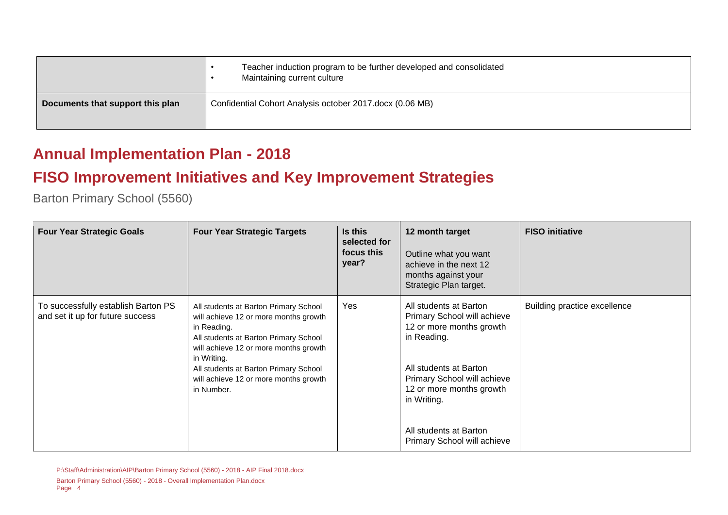|                                  | Teacher induction program to be further developed and consolidated<br>Maintaining current culture |
|----------------------------------|---------------------------------------------------------------------------------------------------|
| Documents that support this plan | Confidential Cohort Analysis october 2017.docx (0.06 MB)                                          |

### **Annual Implementation Plan - 2018**

### **FISO Improvement Initiatives and Key Improvement Strategies**

Barton Primary School (5560)

| <b>Four Year Strategic Goals</b>                                        | <b>Four Year Strategic Targets</b>                                                                                                                                                                                                                                                             | Is this<br>selected for<br>focus this<br>year? | 12 month target<br>Outline what you want<br>achieve in the next 12<br>months against your<br>Strategic Plan target.                                                                                                                                           | <b>FISO</b> initiative       |
|-------------------------------------------------------------------------|------------------------------------------------------------------------------------------------------------------------------------------------------------------------------------------------------------------------------------------------------------------------------------------------|------------------------------------------------|---------------------------------------------------------------------------------------------------------------------------------------------------------------------------------------------------------------------------------------------------------------|------------------------------|
| To successfully establish Barton PS<br>and set it up for future success | All students at Barton Primary School<br>will achieve 12 or more months growth<br>in Reading.<br>All students at Barton Primary School<br>will achieve 12 or more months growth<br>in Writing.<br>All students at Barton Primary School<br>will achieve 12 or more months growth<br>in Number. | Yes                                            | All students at Barton<br>Primary School will achieve<br>12 or more months growth<br>in Reading.<br>All students at Barton<br>Primary School will achieve<br>12 or more months growth<br>in Writing.<br>All students at Barton<br>Primary School will achieve | Building practice excellence |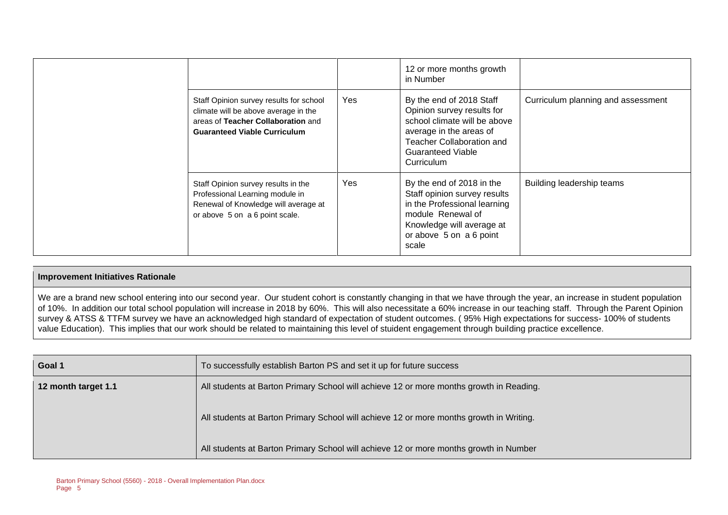|                                                                                                                                                              |     | 12 or more months growth<br>in Number                                                                                                                                                           |                                    |
|--------------------------------------------------------------------------------------------------------------------------------------------------------------|-----|-------------------------------------------------------------------------------------------------------------------------------------------------------------------------------------------------|------------------------------------|
| Staff Opinion survey results for school<br>climate will be above average in the<br>areas of Teacher Collaboration and<br><b>Guaranteed Viable Curriculum</b> | Yes | By the end of 2018 Staff<br>Opinion survey results for<br>school climate will be above<br>average in the areas of<br><b>Teacher Collaboration and</b><br><b>Guaranteed Viable</b><br>Curriculum | Curriculum planning and assessment |
| Staff Opinion survey results in the<br>Professional Learning module in<br>Renewal of Knowledge will average at<br>or above 5 on a 6 point scale.             | Yes | By the end of 2018 in the<br>Staff opinion survey results<br>in the Professional learning<br>module Renewal of<br>Knowledge will average at<br>or above 5 on a 6 point<br>scale                 | Building leadership teams          |

#### **Improvement Initiatives Rationale**

We are a brand new school entering into our second year. Our student cohort is constantly changing in that we have through the year, an increase in student population of 10%. In addition our total school population will increase in 2018 by 60%. This will also necessitate a 60% increase in our teaching staff. Through the Parent Opinion survey & ATSS & TTFM survey we have an acknowledged high standard of expectation of student outcomes. ( 95% High expectations for success- 100% of students value Education). This implies that our work should be related to maintaining this level of stuident engagement through building practice excellence.

| Goal 1              | To successfully establish Barton PS and set it up for future success                    |  |  |
|---------------------|-----------------------------------------------------------------------------------------|--|--|
| 12 month target 1.1 | All students at Barton Primary School will achieve 12 or more months growth in Reading. |  |  |
|                     | All students at Barton Primary School will achieve 12 or more months growth in Writing. |  |  |
|                     | All students at Barton Primary School will achieve 12 or more months growth in Number   |  |  |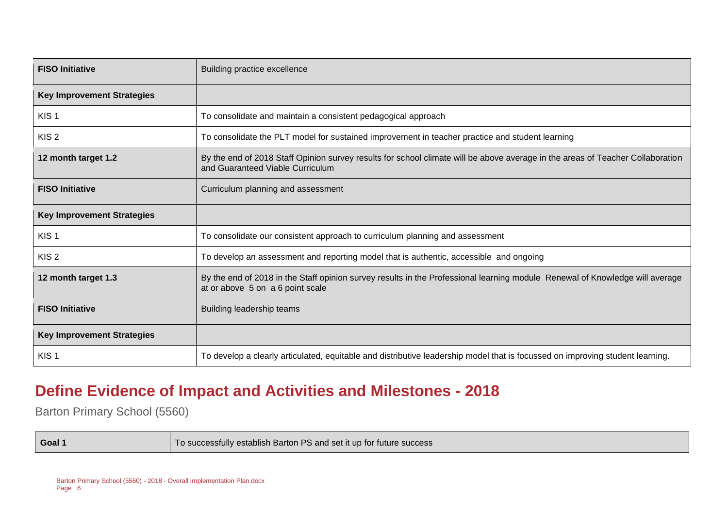| <b>FISO Initiative</b>            | Building practice excellence                                                                                                                                       |  |  |  |
|-----------------------------------|--------------------------------------------------------------------------------------------------------------------------------------------------------------------|--|--|--|
| <b>Key Improvement Strategies</b> |                                                                                                                                                                    |  |  |  |
| KIS <sub>1</sub>                  | To consolidate and maintain a consistent pedagogical approach                                                                                                      |  |  |  |
| KIS <sub>2</sub>                  | To consolidate the PLT model for sustained improvement in teacher practice and student learning                                                                    |  |  |  |
| 12 month target 1.2               | By the end of 2018 Staff Opinion survey results for school climate will be above average in the areas of Teacher Collaboration<br>and Guaranteed Viable Curriculum |  |  |  |
| <b>FISO Initiative</b>            | Curriculum planning and assessment                                                                                                                                 |  |  |  |
| <b>Key Improvement Strategies</b> |                                                                                                                                                                    |  |  |  |
| KIS <sub>1</sub>                  | To consolidate our consistent approach to curriculum planning and assessment                                                                                       |  |  |  |
| KIS <sub>2</sub>                  | To develop an assessment and reporting model that is authentic, accessible and ongoing                                                                             |  |  |  |
| 12 month target 1.3               | By the end of 2018 in the Staff opinion survey results in the Professional learning module Renewal of Knowledge will average<br>at or above 5 on a 6 point scale   |  |  |  |
| <b>FISO Initiative</b>            | Building leadership teams                                                                                                                                          |  |  |  |
| <b>Key Improvement Strategies</b> |                                                                                                                                                                    |  |  |  |
| KIS <sub>1</sub>                  | To develop a clearly articulated, equitable and distributive leadership model that is focussed on improving student learning.                                      |  |  |  |

### **Define Evidence of Impact and Activities and Milestones - 2018**

Barton Primary School (5560)

**Goal 1 Goal 1** To successfully establish Barton PS and set it up for future success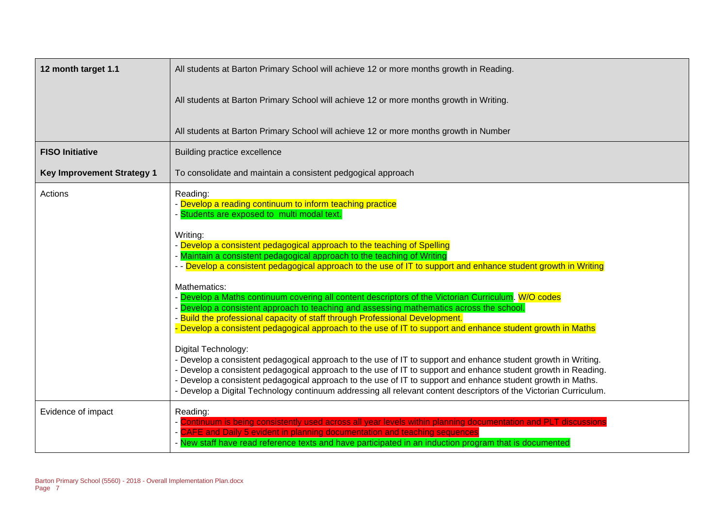| 12 month target 1.1               | All students at Barton Primary School will achieve 12 or more months growth in Reading.                                                                                                                                                                                                                                                                                                                                                                                                                                                                                                                                                                                                                                                                                                                                                                                                                                                                                                                                                                                                                                                                                                                                                                                                                               |  |  |  |
|-----------------------------------|-----------------------------------------------------------------------------------------------------------------------------------------------------------------------------------------------------------------------------------------------------------------------------------------------------------------------------------------------------------------------------------------------------------------------------------------------------------------------------------------------------------------------------------------------------------------------------------------------------------------------------------------------------------------------------------------------------------------------------------------------------------------------------------------------------------------------------------------------------------------------------------------------------------------------------------------------------------------------------------------------------------------------------------------------------------------------------------------------------------------------------------------------------------------------------------------------------------------------------------------------------------------------------------------------------------------------|--|--|--|
|                                   | All students at Barton Primary School will achieve 12 or more months growth in Writing.                                                                                                                                                                                                                                                                                                                                                                                                                                                                                                                                                                                                                                                                                                                                                                                                                                                                                                                                                                                                                                                                                                                                                                                                                               |  |  |  |
|                                   | All students at Barton Primary School will achieve 12 or more months growth in Number                                                                                                                                                                                                                                                                                                                                                                                                                                                                                                                                                                                                                                                                                                                                                                                                                                                                                                                                                                                                                                                                                                                                                                                                                                 |  |  |  |
| <b>FISO Initiative</b>            | Building practice excellence                                                                                                                                                                                                                                                                                                                                                                                                                                                                                                                                                                                                                                                                                                                                                                                                                                                                                                                                                                                                                                                                                                                                                                                                                                                                                          |  |  |  |
| <b>Key Improvement Strategy 1</b> | To consolidate and maintain a consistent pedgogical approach                                                                                                                                                                                                                                                                                                                                                                                                                                                                                                                                                                                                                                                                                                                                                                                                                                                                                                                                                                                                                                                                                                                                                                                                                                                          |  |  |  |
| Actions                           | Reading:<br>- Develop a reading continuum to inform teaching practice<br>- Students are exposed to multi modal text.<br>Writing:<br>- Develop a consistent pedagogical approach to the teaching of Spelling<br>- Maintain a consistent pedagogical approach to the teaching of Writing<br>- - Develop a consistent pedagogical approach to the use of IT to support and enhance student growth in Writing<br>Mathematics:<br>Develop a Maths continuum covering all content descriptors of the Victorian Curriculum. W/O codes<br>Develop a consistent approach to teaching and assessing mathematics across the school.<br>- Build the professional capacity of staff through Professional Development.<br>Develop a consistent pedagogical approach to the use of IT to support and enhance student growth in Maths<br>Digital Technology:<br>- Develop a consistent pedagogical approach to the use of IT to support and enhance student growth in Writing.<br>- Develop a consistent pedagogical approach to the use of IT to support and enhance student growth in Reading.<br>- Develop a consistent pedagogical approach to the use of IT to support and enhance student growth in Maths.<br>- Develop a Digital Technology continuum addressing all relevant content descriptors of the Victorian Curriculum. |  |  |  |
| Evidence of impact                | Reading:<br>- Continuum is being consistently used across all year levels within planning documentation and PLT discussions<br>- CAFE and Daily 5 evident in planning documentation and teaching sequences<br>- New staff have read reference texts and have participated in an induction program that is documented                                                                                                                                                                                                                                                                                                                                                                                                                                                                                                                                                                                                                                                                                                                                                                                                                                                                                                                                                                                                  |  |  |  |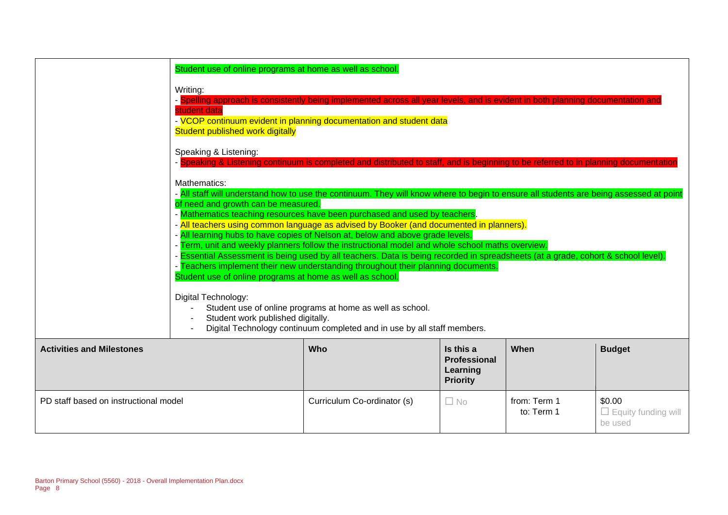|                                       | Writing:<br>- Spelling approach is consistently being implemented across all year levels, and is evident in both planning documentation and<br>student data<br>- VCOP continuum evident in planning documentation and student data<br>Student published work digitally<br>Speaking & Listening:<br>- Speaking & Listening continuum is completed and distributed to staff, and is beginning to be referred to in planning document<br>Mathematics:<br>- All staff will understand how to use the continuum. They will know where to begin to ensure all students are being assessed at point<br>of need and growth can be measured.<br>- Mathematics teaching resources have been purchased and used by teachers.<br>- All teachers using common language as advised by Booker (and documented in planners).<br>- All learning hubs to have copies of Nelson at, below and above grade levels.<br>- Term, unit and weekly planners follow the instructional model and whole school maths overview.<br>- Essential Assessment is being used by all teachers. Data is being recorded in spreadsheets (at a grade, cohort & school level).<br>- Teachers implement their new understanding throughout their planning documents.<br>Student use of online programs at home as well as school.<br>Digital Technology:<br>Student use of online programs at home as well as school.<br>Student work published digitally.<br>Digital Technology continuum completed and in use by all staff members. |                             |                                                                 |                            |                                                 |
|---------------------------------------|-----------------------------------------------------------------------------------------------------------------------------------------------------------------------------------------------------------------------------------------------------------------------------------------------------------------------------------------------------------------------------------------------------------------------------------------------------------------------------------------------------------------------------------------------------------------------------------------------------------------------------------------------------------------------------------------------------------------------------------------------------------------------------------------------------------------------------------------------------------------------------------------------------------------------------------------------------------------------------------------------------------------------------------------------------------------------------------------------------------------------------------------------------------------------------------------------------------------------------------------------------------------------------------------------------------------------------------------------------------------------------------------------------------------------------------------------------------------------------------------------|-----------------------------|-----------------------------------------------------------------|----------------------------|-------------------------------------------------|
| <b>Activities and Milestones</b>      |                                                                                                                                                                                                                                                                                                                                                                                                                                                                                                                                                                                                                                                                                                                                                                                                                                                                                                                                                                                                                                                                                                                                                                                                                                                                                                                                                                                                                                                                                               | Who                         | Is this a<br><b>Professional</b><br>Learning<br><b>Priority</b> | When                       | <b>Budget</b>                                   |
| PD staff based on instructional model |                                                                                                                                                                                                                                                                                                                                                                                                                                                                                                                                                                                                                                                                                                                                                                                                                                                                                                                                                                                                                                                                                                                                                                                                                                                                                                                                                                                                                                                                                               | Curriculum Co-ordinator (s) | $\Box$ No                                                       | from: Term 1<br>to: Term 1 | \$0.00<br>$\Box$ Equity funding will<br>be used |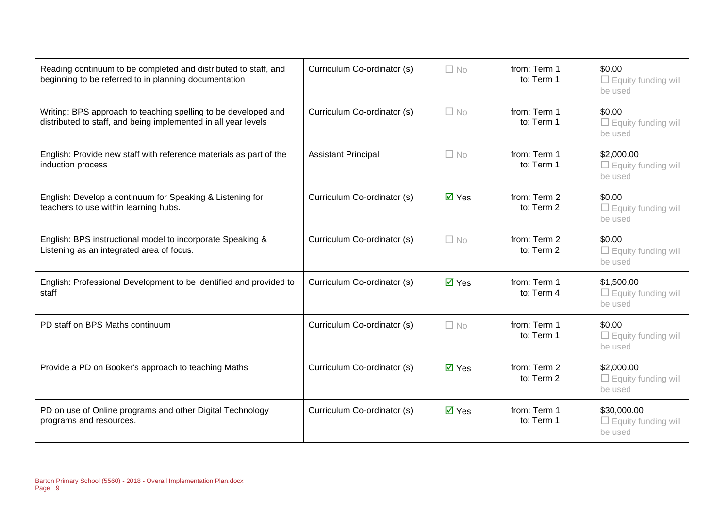| Reading continuum to be completed and distributed to staff, and<br>beginning to be referred to in planning documentation         | Curriculum Co-ordinator (s) | $\Box$ No                   | from: Term 1<br>to: Term 1 | \$0.00<br>$\Box$ Equity funding will<br>be used      |
|----------------------------------------------------------------------------------------------------------------------------------|-----------------------------|-----------------------------|----------------------------|------------------------------------------------------|
| Writing: BPS approach to teaching spelling to be developed and<br>distributed to staff, and being implemented in all year levels | Curriculum Co-ordinator (s) | $\Box$ No                   | from: Term 1<br>to: Term 1 | \$0.00<br>$\Box$ Equity funding will<br>be used      |
| English: Provide new staff with reference materials as part of the<br>induction process                                          | <b>Assistant Principal</b>  | $\Box$ No                   | from: Term 1<br>to: Term 1 | \$2,000.00<br>$\Box$ Equity funding will<br>be used  |
| English: Develop a continuum for Speaking & Listening for<br>teachers to use within learning hubs.                               | Curriculum Co-ordinator (s) | $\overline{\mathsf{M}}$ Yes | from: Term 2<br>to: Term 2 | \$0.00<br>$\Box$ Equity funding will<br>be used      |
| English: BPS instructional model to incorporate Speaking &<br>Listening as an integrated area of focus.                          | Curriculum Co-ordinator (s) | $\Box$ No                   | from: Term 2<br>to: Term 2 | \$0.00<br>$\Box$ Equity funding will<br>be used      |
| English: Professional Development to be identified and provided to<br>staff                                                      | Curriculum Co-ordinator (s) | $\overline{M}$ Yes          | from: Term 1<br>to: Term 4 | \$1,500.00<br>$\Box$ Equity funding will<br>be used  |
| PD staff on BPS Maths continuum                                                                                                  | Curriculum Co-ordinator (s) | $\Box$ No                   | from: Term 1<br>to: Term 1 | \$0.00<br>$\Box$ Equity funding will<br>be used      |
| Provide a PD on Booker's approach to teaching Maths                                                                              | Curriculum Co-ordinator (s) | $\overline{\mathsf{M}}$ Yes | from: Term 2<br>to: Term 2 | \$2,000.00<br>$\Box$ Equity funding will<br>be used  |
| PD on use of Online programs and other Digital Technology<br>programs and resources.                                             | Curriculum Co-ordinator (s) | $\overline{\mathsf{M}}$ Yes | from: Term 1<br>to: Term 1 | \$30,000.00<br>$\Box$ Equity funding will<br>be used |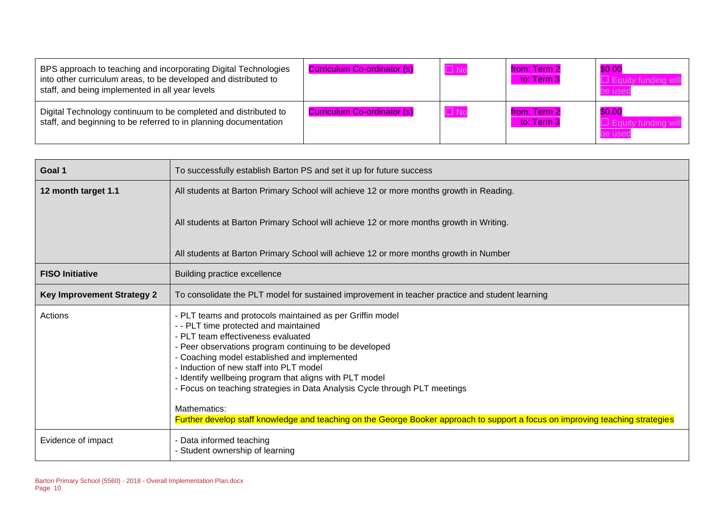| BPS approach to teaching and incorporating Digital Technologies<br>into other curriculum areas, to be developed and distributed to<br>staff, and being implemented in all year levels | Curriculum Co-ordinator (s) | $\Box$ No    | from: Term 2<br>to: Term 3 | \$0.00<br>be used |
|---------------------------------------------------------------------------------------------------------------------------------------------------------------------------------------|-----------------------------|--------------|----------------------------|-------------------|
| Digital Technology continuum to be completed and distributed to<br>staff, and beginning to be referred to in planning documentation                                                   | Curriculum Co-ordinator (s) | $\square$ No | from: Term 2<br>to: Term 3 | \$0.00<br>be usec |

| Goal 1                            | To successfully establish Barton PS and set it up for future success                                                                                                                                                                                                                                                                                                                                                                                                                                                                                                                     |
|-----------------------------------|------------------------------------------------------------------------------------------------------------------------------------------------------------------------------------------------------------------------------------------------------------------------------------------------------------------------------------------------------------------------------------------------------------------------------------------------------------------------------------------------------------------------------------------------------------------------------------------|
| 12 month target 1.1               | All students at Barton Primary School will achieve 12 or more months growth in Reading.                                                                                                                                                                                                                                                                                                                                                                                                                                                                                                  |
|                                   | All students at Barton Primary School will achieve 12 or more months growth in Writing.                                                                                                                                                                                                                                                                                                                                                                                                                                                                                                  |
|                                   | All students at Barton Primary School will achieve 12 or more months growth in Number                                                                                                                                                                                                                                                                                                                                                                                                                                                                                                    |
| <b>FISO Initiative</b>            | Building practice excellence                                                                                                                                                                                                                                                                                                                                                                                                                                                                                                                                                             |
| <b>Key Improvement Strategy 2</b> | To consolidate the PLT model for sustained improvement in teacher practice and student learning                                                                                                                                                                                                                                                                                                                                                                                                                                                                                          |
| Actions                           | - PLT teams and protocols maintained as per Griffin model<br>- - PLT time protected and maintained<br>- PLT team effectiveness evaluated<br>- Peer observations program continuing to be developed<br>- Coaching model established and implemented<br>- Induction of new staff into PLT model<br>- Identify wellbeing program that aligns with PLT model<br>- Focus on teaching strategies in Data Analysis Cycle through PLT meetings<br>Mathematics:<br>Further develop staff knowledge and teaching on the George Booker approach to support a focus on improving teaching strategies |
| Evidence of impact                | - Data informed teaching<br>- Student ownership of learning                                                                                                                                                                                                                                                                                                                                                                                                                                                                                                                              |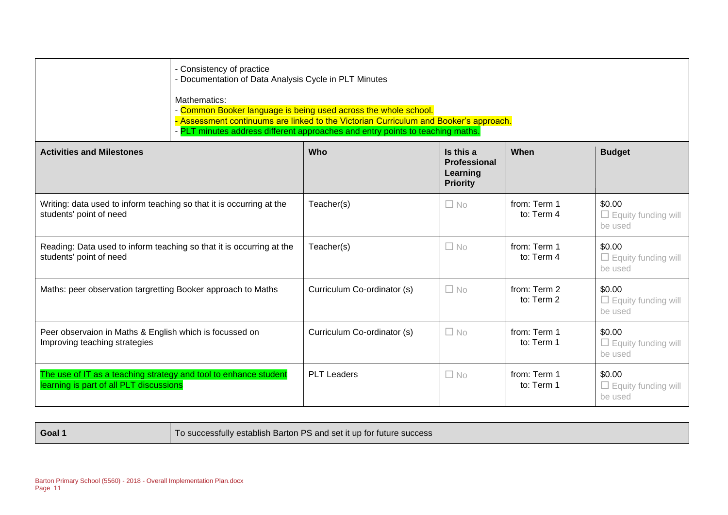| - Consistency of practice<br>- Documentation of Data Analysis Cycle in PLT Minutes<br>Mathematics:<br>- Common Booker language is being used across the whole school.<br>- Assessment continuums are linked to the Victorian Curriculum and Booker's approach.<br>- PLT minutes address different approaches and entry points to teaching maths. |                             |                                                                 |                            |                                                 |  |  |
|--------------------------------------------------------------------------------------------------------------------------------------------------------------------------------------------------------------------------------------------------------------------------------------------------------------------------------------------------|-----------------------------|-----------------------------------------------------------------|----------------------------|-------------------------------------------------|--|--|
| <b>Activities and Milestones</b>                                                                                                                                                                                                                                                                                                                 | Who                         | Is this a<br><b>Professional</b><br>Learning<br><b>Priority</b> | When                       | <b>Budget</b>                                   |  |  |
| Writing: data used to inform teaching so that it is occurring at the<br>students' point of need                                                                                                                                                                                                                                                  | Teacher(s)                  | $\Box$ No                                                       | from: Term 1<br>to: Term 4 | \$0.00<br>$\Box$ Equity funding will<br>be used |  |  |
| Reading: Data used to inform teaching so that it is occurring at the<br>students' point of need                                                                                                                                                                                                                                                  | Teacher(s)                  | $\Box$ No                                                       | from: Term 1<br>to: Term 4 | \$0.00<br>$\Box$ Equity funding will<br>be used |  |  |
| Maths: peer observation targretting Booker approach to Maths                                                                                                                                                                                                                                                                                     | Curriculum Co-ordinator (s) | $\Box$ No                                                       | from: Term 2<br>to: Term 2 | \$0.00<br>$\Box$ Equity funding will<br>be used |  |  |
| Peer observaion in Maths & English which is focussed on<br>Improving teaching strategies                                                                                                                                                                                                                                                         | Curriculum Co-ordinator (s) | $\Box$ No                                                       | from: Term 1<br>to: Term 1 | \$0.00<br>$\Box$ Equity funding will<br>be used |  |  |
| The use of IT as a teaching strategy and tool to enhance student<br>learning is part of all PLT discussions                                                                                                                                                                                                                                      | <b>PLT Leaders</b>          | $\Box$ No                                                       | from: Term 1<br>to: Term 1 | \$0.00<br>$\Box$ Equity funding will<br>be used |  |  |

**Goal 1 Goal 1** To successfully establish Barton PS and set it up for future success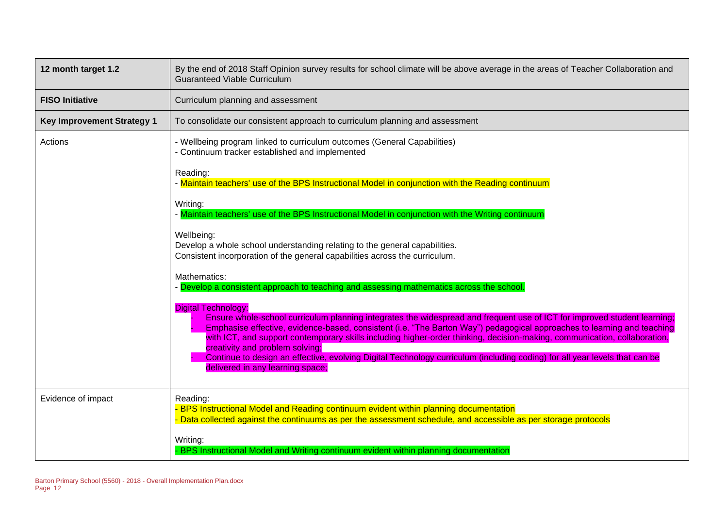| 12 month target 1.2               | By the end of 2018 Staff Opinion survey results for school climate will be above average in the areas of Teacher Collaboration and<br><b>Guaranteed Viable Curriculum</b>                                                                                                                                                                                                                                                                                                                                                                                                                                           |  |  |  |  |
|-----------------------------------|---------------------------------------------------------------------------------------------------------------------------------------------------------------------------------------------------------------------------------------------------------------------------------------------------------------------------------------------------------------------------------------------------------------------------------------------------------------------------------------------------------------------------------------------------------------------------------------------------------------------|--|--|--|--|
| <b>FISO Initiative</b>            | Curriculum planning and assessment                                                                                                                                                                                                                                                                                                                                                                                                                                                                                                                                                                                  |  |  |  |  |
| <b>Key Improvement Strategy 1</b> | To consolidate our consistent approach to curriculum planning and assessment                                                                                                                                                                                                                                                                                                                                                                                                                                                                                                                                        |  |  |  |  |
| Actions                           | - Wellbeing program linked to curriculum outcomes (General Capabilities)<br>- Continuum tracker established and implemented                                                                                                                                                                                                                                                                                                                                                                                                                                                                                         |  |  |  |  |
|                                   | Reading:<br>- Maintain teachers' use of the BPS Instructional Model in conjunction with the Reading continuum                                                                                                                                                                                                                                                                                                                                                                                                                                                                                                       |  |  |  |  |
|                                   | Writing:<br>- Maintain teachers' use of the BPS Instructional Model in conjunction with the Writing continuum                                                                                                                                                                                                                                                                                                                                                                                                                                                                                                       |  |  |  |  |
|                                   | Wellbeing:<br>Develop a whole school understanding relating to the general capabilities.<br>Consistent incorporation of the general capabilities across the curriculum.                                                                                                                                                                                                                                                                                                                                                                                                                                             |  |  |  |  |
|                                   | Mathematics:<br>- Develop a consistent approach to teaching and assessing mathematics across the school.                                                                                                                                                                                                                                                                                                                                                                                                                                                                                                            |  |  |  |  |
|                                   | <b>Digital Technology:</b><br>Ensure whole-school curriculum planning integrates the widespread and frequent use of ICT for improved student learning;<br>Emphasise effective, evidence-based, consistent (i.e. "The Barton Way") pedagogical approaches to learning and teaching<br>with ICT, and support contemporary skills including higher-order thinking, decision-making, communication, collaboration,<br>creativity and problem solving;<br>Continue to design an effective, evolving Digital Technology curriculum (including coding) for all year levels that can be<br>delivered in any learning space; |  |  |  |  |
| Evidence of impact                | Reading:<br>- BPS Instructional Model and Reading continuum evident within planning documentation<br>- Data collected against the continuums as per the assessment schedule, and accessible as per storage protocols                                                                                                                                                                                                                                                                                                                                                                                                |  |  |  |  |
|                                   | Writing:<br>- BPS Instructional Model and Writing continuum evident within planning documentation                                                                                                                                                                                                                                                                                                                                                                                                                                                                                                                   |  |  |  |  |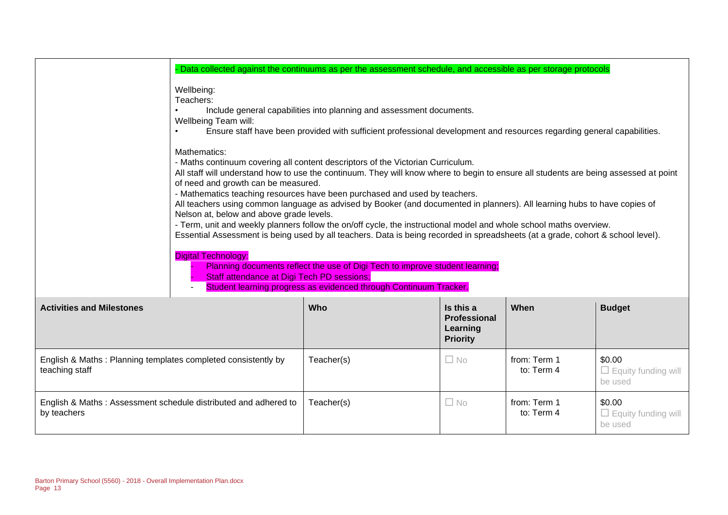|                                                                                 | Data collected against the continuums as per the assessment schedule, and accessible as per storage protocols                                                                                                                                                                                                                                                                                                                                                                                                                                                                                                                                                                                                                                                                                                                                                                                                                                                                     |                                                                 |      |               |  |  |
|---------------------------------------------------------------------------------|-----------------------------------------------------------------------------------------------------------------------------------------------------------------------------------------------------------------------------------------------------------------------------------------------------------------------------------------------------------------------------------------------------------------------------------------------------------------------------------------------------------------------------------------------------------------------------------------------------------------------------------------------------------------------------------------------------------------------------------------------------------------------------------------------------------------------------------------------------------------------------------------------------------------------------------------------------------------------------------|-----------------------------------------------------------------|------|---------------|--|--|
| Wellbeing:<br>Teachers:<br>Wellbeing Team will:                                 | Include general capabilities into planning and assessment documents.<br>Ensure staff have been provided with sufficient professional development and resources regarding general capabilities.                                                                                                                                                                                                                                                                                                                                                                                                                                                                                                                                                                                                                                                                                                                                                                                    |                                                                 |      |               |  |  |
| Mathematics:<br><b>Digital Technology:</b>                                      | - Maths continuum covering all content descriptors of the Victorian Curriculum.<br>All staff will understand how to use the continuum. They will know where to begin to ensure all students are being assessed at point<br>of need and growth can be measured.<br>- Mathematics teaching resources have been purchased and used by teachers.<br>All teachers using common language as advised by Booker (and documented in planners). All learning hubs to have copies of<br>Nelson at, below and above grade levels.<br>- Term, unit and weekly planners follow the on/off cycle, the instructional model and whole school maths overview.<br>Essential Assessment is being used by all teachers. Data is being recorded in spreadsheets (at a grade, cohort & school level).<br>Planning documents reflect the use of Digi Tech to improve student learning;<br>Staff attendance at Digi Tech PD sessions;<br>Student learning progress as evidenced through Continuum Tracker. |                                                                 |      |               |  |  |
| <b>Activities and Milestones</b>                                                | Who                                                                                                                                                                                                                                                                                                                                                                                                                                                                                                                                                                                                                                                                                                                                                                                                                                                                                                                                                                               | Is this a<br><b>Professional</b><br>Learning<br><b>Priority</b> | When | <b>Budget</b> |  |  |
| English & Maths: Planning templates completed consistently by<br>teaching staff | from: Term 1<br>\$0.00<br>Teacher(s)<br>$\Box$ No<br>to: Term 4<br>$\Box$ Equity funding will<br>be used                                                                                                                                                                                                                                                                                                                                                                                                                                                                                                                                                                                                                                                                                                                                                                                                                                                                          |                                                                 |      |               |  |  |
| English & Maths: Assessment schedule distributed and adhered to<br>by teachers  | from: Term 1<br>\$0.00<br>Teacher(s)<br>$\Box$ No<br>to: Term 4<br>$\Box$ Equity funding will<br>be used                                                                                                                                                                                                                                                                                                                                                                                                                                                                                                                                                                                                                                                                                                                                                                                                                                                                          |                                                                 |      |               |  |  |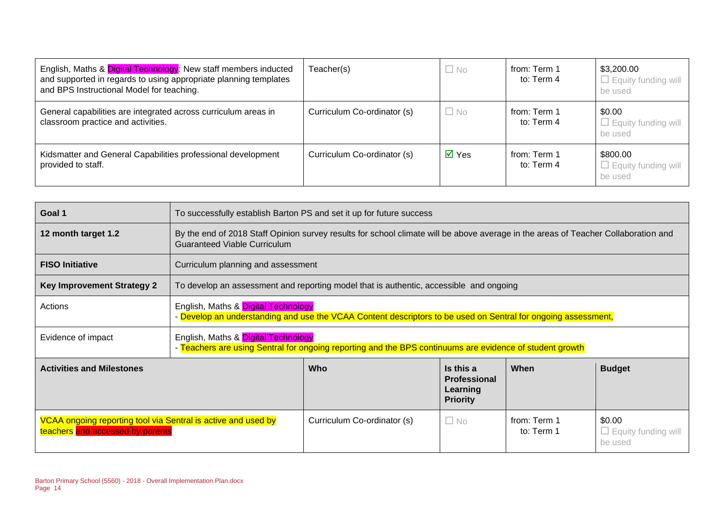| English, Maths & Digital Technology: New staff members inducted<br>and supported in regards to using appropriate planning templates<br>and BPS Instructional Model for teaching. | Teacher(s)                  | $\Box$ No                   | from: Term 1<br>to: Term 4 | \$3,200.00<br>$\Box$ Equity funding will<br>be used |
|----------------------------------------------------------------------------------------------------------------------------------------------------------------------------------|-----------------------------|-----------------------------|----------------------------|-----------------------------------------------------|
| General capabilities are integrated across curriculum areas in<br>classroom practice and activities.                                                                             | Curriculum Co-ordinator (s) | $\Box$ No                   | from: Term 1<br>to: Term 4 | \$0.00<br>$\Box$ Equity funding will<br>be used     |
| Kidsmatter and General Capabilities professional development<br>provided to staff.                                                                                               | Curriculum Co-ordinator (s) | $\overline{\mathsf{M}}$ Yes | from: Term 1<br>to: Term 4 | \$800.00<br>$\Box$ Equity funding will<br>be used   |

| Goal 1                            | To successfully establish Barton PS and set it up for future success                                                                                                      |                                                                                        |  |  |                            |
|-----------------------------------|---------------------------------------------------------------------------------------------------------------------------------------------------------------------------|----------------------------------------------------------------------------------------|--|--|----------------------------|
| 12 month target 1.2               | By the end of 2018 Staff Opinion survey results for school climate will be above average in the areas of Teacher Collaboration and<br><b>Guaranteed Viable Curriculum</b> |                                                                                        |  |  |                            |
| <b>FISO Initiative</b>            | Curriculum planning and assessment                                                                                                                                        |                                                                                        |  |  |                            |
| <b>Key Improvement Strategy 2</b> |                                                                                                                                                                           | To develop an assessment and reporting model that is authentic, accessible and ongoing |  |  |                            |
| Actions                           | English, Maths & Digital Technology<br>- Develop an understanding and use the VCAA Content descriptors to be used on Sentral for ongoing assessment,                      |                                                                                        |  |  |                            |
| Evidence of impact                | English, Maths & Digital Technology<br>- Teachers are using Sentral for ongoing reporting and the BPS continuums are evidence of student growth                           |                                                                                        |  |  |                            |
| <b>Activities and Milestones</b>  | When<br><b>Who</b><br>Is this a<br><b>Budget</b><br><b>Professional</b><br>Learning<br><b>Priority</b>                                                                    |                                                                                        |  |  |                            |
| teachers and accessed by parents  | VCAA ongoing reporting tool via Sentral is active and used by<br>\$0.00<br>Curriculum Co-ordinator (s)<br>from: Term 1<br>$\Box$ No<br>to: Term 1<br>be used              |                                                                                        |  |  | $\Box$ Equity funding will |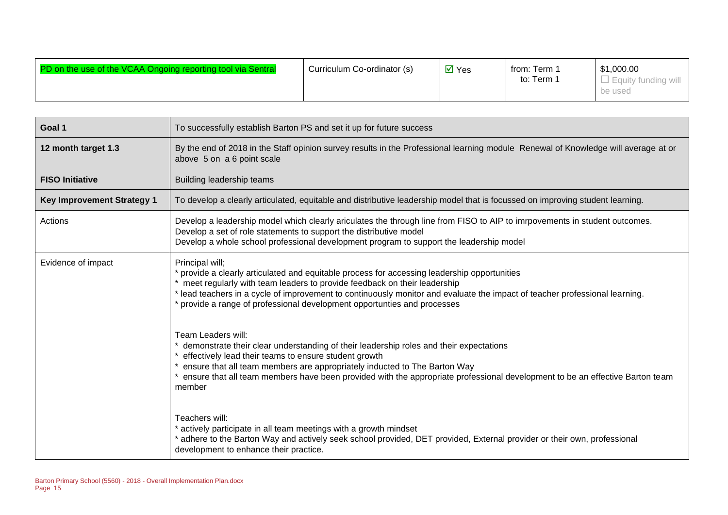| PD on the use of the VCAA Ongoing reporting tool via Sentral | Curriculum Co-ordinator (s) | $\overline{M}$ Yes | from: Term<br>to: Term | \$1,000.00<br>Equity funding will |
|--------------------------------------------------------------|-----------------------------|--------------------|------------------------|-----------------------------------|
|                                                              |                             |                    |                        | be used                           |

| Goal 1                            | To successfully establish Barton PS and set it up for future success                                                                                                                                                                                                                                                                                                                                   |
|-----------------------------------|--------------------------------------------------------------------------------------------------------------------------------------------------------------------------------------------------------------------------------------------------------------------------------------------------------------------------------------------------------------------------------------------------------|
| 12 month target 1.3               | By the end of 2018 in the Staff opinion survey results in the Professional learning module Renewal of Knowledge will average at or<br>above 5 on a 6 point scale                                                                                                                                                                                                                                       |
| <b>FISO Initiative</b>            | Building leadership teams                                                                                                                                                                                                                                                                                                                                                                              |
| <b>Key Improvement Strategy 1</b> | To develop a clearly articulated, equitable and distributive leadership model that is focussed on improving student learning.                                                                                                                                                                                                                                                                          |
| Actions                           | Develop a leadership model which clearly ariculates the through line from FISO to AIP to imrpovements in student outcomes.<br>Develop a set of role statements to support the distributive model<br>Develop a whole school professional development program to support the leadership model                                                                                                            |
| Evidence of impact                | Principal will;<br>* provide a clearly articulated and equitable process for accessing leadership opportunities<br>meet regularly with team leaders to provide feedback on their leadership<br>* lead teachers in a cycle of improvement to continuously monitor and evaluate the impact of teacher professional learning.<br>* provide a range of professional development opportunties and processes |
|                                   | Team Leaders will:<br>demonstrate their clear understanding of their leadership roles and their expectations<br>effectively lead their teams to ensure student growth<br>ensure that all team members are appropriately inducted to The Barton Way<br>ensure that all team members have been provided with the appropriate professional development to be an effective Barton team<br>member           |
|                                   | Teachers will:<br>* actively participate in all team meetings with a growth mindset<br>* adhere to the Barton Way and actively seek school provided, DET provided, External provider or their own, professional<br>development to enhance their practice.                                                                                                                                              |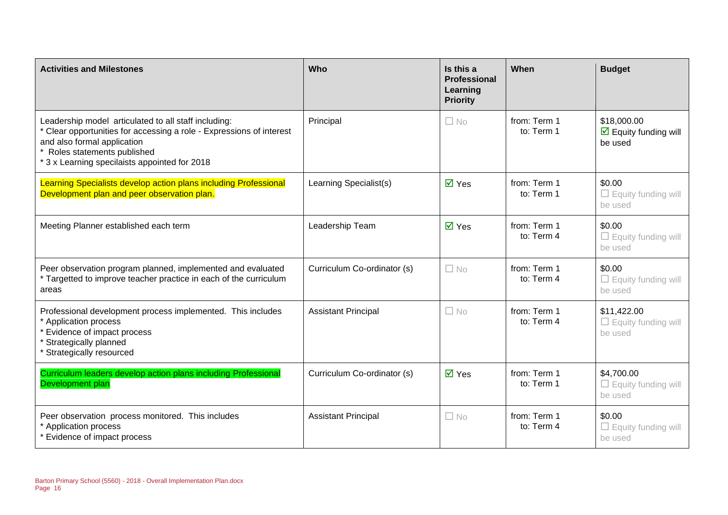| <b>Activities and Milestones</b>                                                                                                                                                                                                           | Who                         | Is this a<br><b>Professional</b><br>Learning<br><b>Priority</b> | When                       | <b>Budget</b>                                             |
|--------------------------------------------------------------------------------------------------------------------------------------------------------------------------------------------------------------------------------------------|-----------------------------|-----------------------------------------------------------------|----------------------------|-----------------------------------------------------------|
| Leadership model articulated to all staff including:<br>* Clear opportunities for accessing a role - Expressions of interest<br>and also formal application<br>Roles statements published<br>* 3 x Learning specilaists appointed for 2018 | Principal                   | $\Box$ No                                                       | from: Term 1<br>to: Term 1 | \$18,000.00<br>$\boxtimes$ Equity funding will<br>be used |
| Learning Specialists develop action plans including Professional<br>Development plan and peer observation plan.                                                                                                                            | Learning Specialist(s)      | $\overline{M}$ Yes                                              | from: Term 1<br>to: Term 1 | \$0.00<br>$\Box$ Equity funding will<br>be used           |
| Meeting Planner established each term                                                                                                                                                                                                      | Leadership Team             | $\overline{M}$ Yes                                              | from: Term 1<br>to: Term 4 | \$0.00<br>$\Box$ Equity funding will<br>be used           |
| Peer observation program planned, implemented and evaluated<br>* Targetted to improve teacher practice in each of the curriculum<br>areas                                                                                                  | Curriculum Co-ordinator (s) | $\Box$ No                                                       | from: Term 1<br>to: Term 4 | \$0.00<br>$\Box$ Equity funding will<br>be used           |
| Professional development process implemented. This includes<br>* Application process<br>* Evidence of impact process<br>Strategically planned<br>Strategically resourced                                                                   | <b>Assistant Principal</b>  | $\Box$ No                                                       | from: Term 1<br>to: Term 4 | \$11,422.00<br>$\Box$ Equity funding will<br>be used      |
| Curriculum leaders develop action plans including Professional<br>Development plan                                                                                                                                                         | Curriculum Co-ordinator (s) | $\overline{\blacksquare}$ Yes                                   | from: Term 1<br>to: Term 1 | \$4,700.00<br>$\Box$ Equity funding will<br>be used       |
| Peer observation process monitored. This includes<br>* Application process<br>Evidence of impact process                                                                                                                                   | <b>Assistant Principal</b>  | $\square$ No                                                    | from: Term 1<br>to: Term 4 | \$0.00<br>$\Box$ Equity funding will<br>be used           |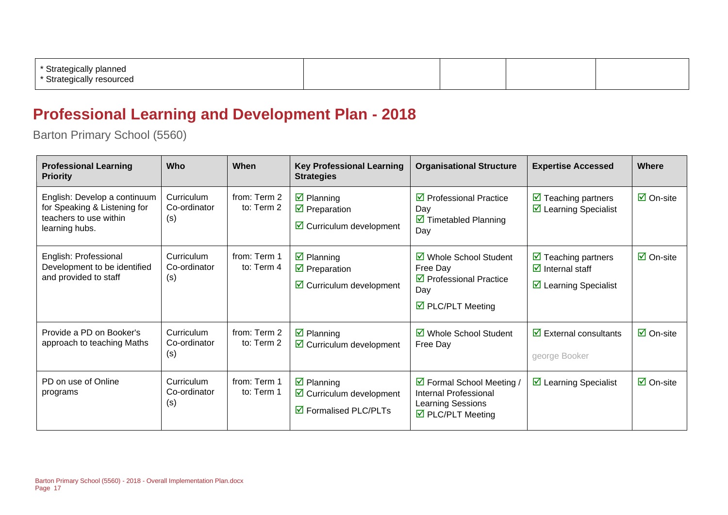| Strategically planned<br>Strategically<br><sup>r</sup> resourced |  |  |
|------------------------------------------------------------------|--|--|
|                                                                  |  |  |

### **Professional Learning and Development Plan - 2018**

Barton Primary School (5560)

| <b>Professional Learning</b><br><b>Priority</b>                                                          | <b>Who</b>                        | When                       | <b>Key Professional Learning</b><br><b>Strategies</b>                                                          | <b>Organisational Structure</b>                                                                                       | <b>Expertise Accessed</b>                                                                                            | Where                           |
|----------------------------------------------------------------------------------------------------------|-----------------------------------|----------------------------|----------------------------------------------------------------------------------------------------------------|-----------------------------------------------------------------------------------------------------------------------|----------------------------------------------------------------------------------------------------------------------|---------------------------------|
| English: Develop a continuum<br>for Speaking & Listening for<br>teachers to use within<br>learning hubs. | Curriculum<br>Co-ordinator<br>(s) | from: Term 2<br>to: Term 2 | $\triangleright$ Planning<br>$\triangledown$ Preparation<br>$\triangleright$ Curriculum development            | $\triangleright$ Professional Practice<br>Day<br>$\triangleright$ Timetabled Planning<br>Day                          | $\triangleright$ Teaching partners<br>$\triangleright$ Learning Specialist                                           | $\overline{\mathsf{M}}$ On-site |
| English: Professional<br>Development to be identified<br>and provided to staff                           | Curriculum<br>Co-ordinator<br>(s) | from: Term 1<br>to: Term 4 | $\boxtimes$ Planning<br>$\triangledown$ Preparation<br>$\boxtimes$ Curriculum development                      | ☑ Whole School Student<br>Free Day<br>$\triangledown$ Professional Practice<br>Day<br>$\triangledown$ PLC/PLT Meeting | $\triangleright$ Teaching partners<br>$\overline{\mathbf{z}}$ Internal staff<br>$\triangleright$ Learning Specialist | $\overline{\mathsf{M}}$ On-site |
| Provide a PD on Booker's<br>approach to teaching Maths                                                   | Curriculum<br>Co-ordinator<br>(s) | from: Term 2<br>to: Term 2 | $\boxtimes$ Planning<br>$\boxdot$ Curriculum development                                                       | ☑ Whole School Student<br>Free Day                                                                                    | $\overline{\mathbf{y}}$ External consultants<br>george Booker                                                        | $\overline{\mathsf{M}}$ On-site |
| PD on use of Online<br>programs                                                                          | Curriculum<br>Co-ordinator<br>(s) | from: Term 1<br>to: Term 1 | $\boxtimes$ Planning<br>$\triangleright$ Curriculum development<br>$\overline{\mathbf{M}}$ Formalised PLC/PLTs | ☑ Formal School Meeting /<br><b>Internal Professional</b><br>Learning Sessions<br>$\triangledown$ PLC/PLT Meeting     | $\triangleright$ Learning Specialist                                                                                 | $\overline{\mathsf{M}}$ On-site |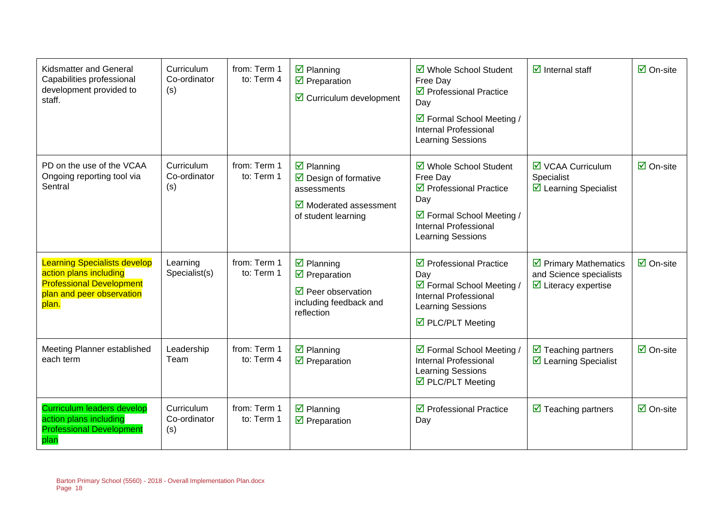| <b>Kidsmatter and General</b><br>Capabilities professional<br>development provided to<br>staff.                                        | Curriculum<br>Co-ordinator<br>(s) | from: Term 1<br>to: Term 4 | $\overline{\mathbf{z}}$ Planning<br>$\overline{\mathbf{y}}$ Preparation<br>$\triangleright$ Curriculum development                                             | ☑ Whole School Student<br>Free Day<br>$\triangledown$ Professional Practice<br>Day<br>☑ Formal School Meeting /<br>Internal Professional<br><b>Learning Sessions</b> | $\overline{\mathbf{d}}$ Internal staff                                                                 | $\overline{\mathsf{M}}$ On-site |
|----------------------------------------------------------------------------------------------------------------------------------------|-----------------------------------|----------------------------|----------------------------------------------------------------------------------------------------------------------------------------------------------------|----------------------------------------------------------------------------------------------------------------------------------------------------------------------|--------------------------------------------------------------------------------------------------------|---------------------------------|
| PD on the use of the VCAA<br>Ongoing reporting tool via<br>Sentral                                                                     | Curriculum<br>Co-ordinator<br>(s) | from: Term 1<br>to: Term 1 | $\overline{\mathbf{z}}$ Planning<br>$\triangleright$ Design of formative<br>assessments<br>$\overline{\mathbf{y}}$ Moderated assessment<br>of student learning | ☑ Whole School Student<br>Free Day<br>$\triangledown$ Professional Practice<br>Day<br>☑ Formal School Meeting /<br><b>Internal Professional</b><br>Learning Sessions | $\overline{\mathbf{M}}$ VCAA Curriculum<br>Specialist<br>$\triangleright$ Learning Specialist          | $\overline{\Box}$ On-site       |
| <b>Learning Specialists develop</b><br>action plans including<br><b>Professional Development</b><br>plan and peer observation<br>plan. | Learning<br>Specialist(s)         | from: Term 1<br>to: Term 1 | $\overline{\mathbf{z}}$ Planning<br>$\overline{\mathbf{y}}$ Preparation<br>$\triangledown$ Peer observation<br>including feedback and<br>reflection            | $\triangledown$ Professional Practice<br>Day<br>☑ Formal School Meeting /<br><b>Internal Professional</b><br>Learning Sessions<br>$\triangledown$ PLC/PLT Meeting    | $\triangleright$ Primary Mathematics<br>and Science specialists<br>$\triangleright$ Literacy expertise | $\overline{\mathsf{M}}$ On-site |
| Meeting Planner established<br>each term                                                                                               | Leadership<br>Team                | from: Term 1<br>to: Term 4 | $\boxtimes$ Planning<br>$\triangledown$ Preparation                                                                                                            | ☑ Formal School Meeting /<br><b>Internal Professional</b><br>Learning Sessions<br>$\triangledown$ PLC/PLT Meeting                                                    | $\triangledown$ Teaching partners<br>☑ Learning Specialist                                             | $\overline{\mathsf{M}}$ On-site |
| <b>Curriculum leaders develop</b><br>action plans including<br><b>Professional Development</b><br>plan                                 | Curriculum<br>Co-ordinator<br>(s) | from: Term 1<br>to: Term 1 | $\boxtimes$ Planning<br>$\overline{\mathbf{y}}$ Preparation                                                                                                    | ☑ Professional Practice<br>Day                                                                                                                                       | $\triangleright$ Teaching partners                                                                     | $\overline{\mathsf{M}}$ On-site |